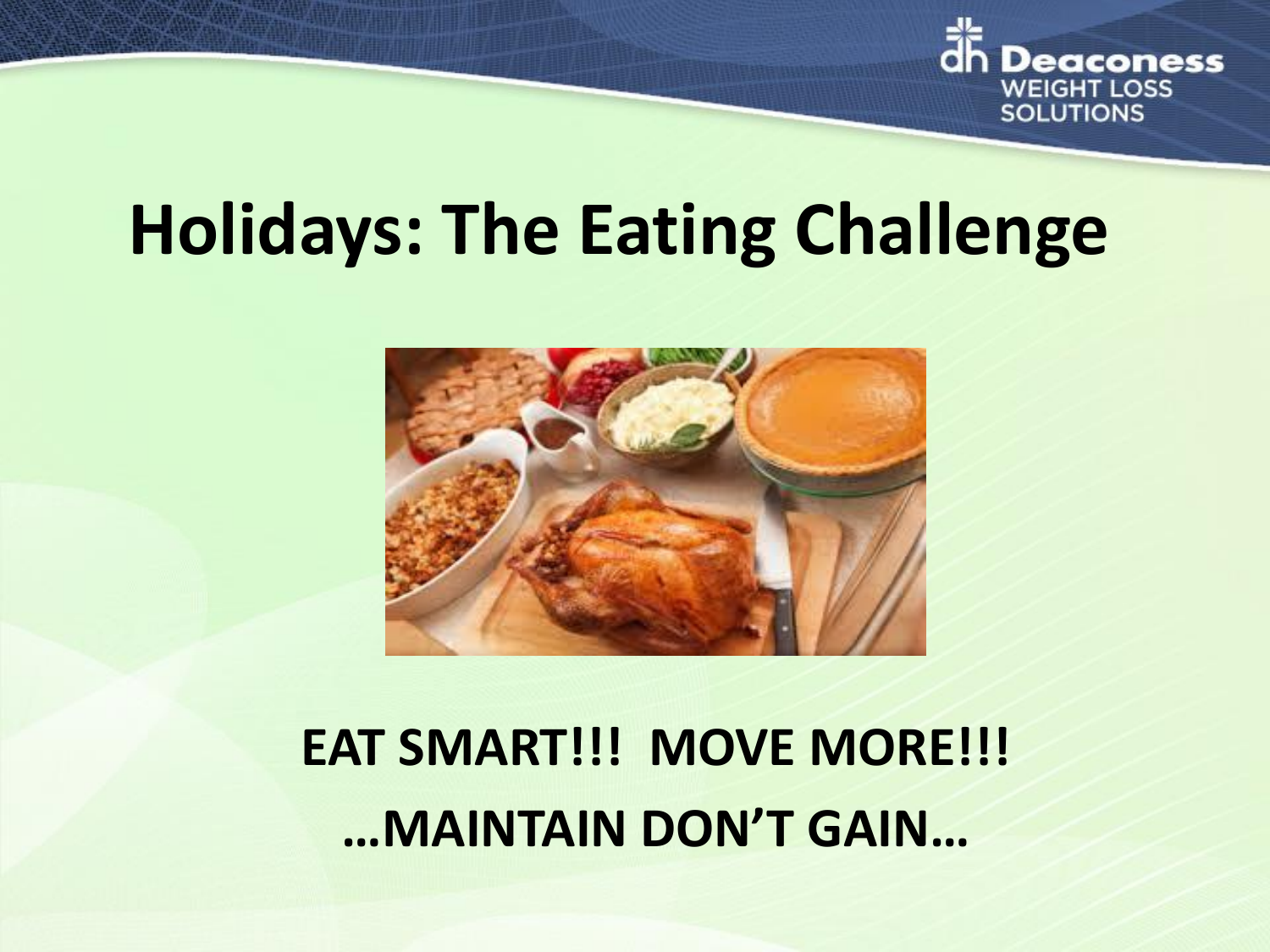

# **Holidays: The Eating Challenge**



# **EAT SMART!!! MOVE MORE!!! …MAINTAIN DON'T GAIN…**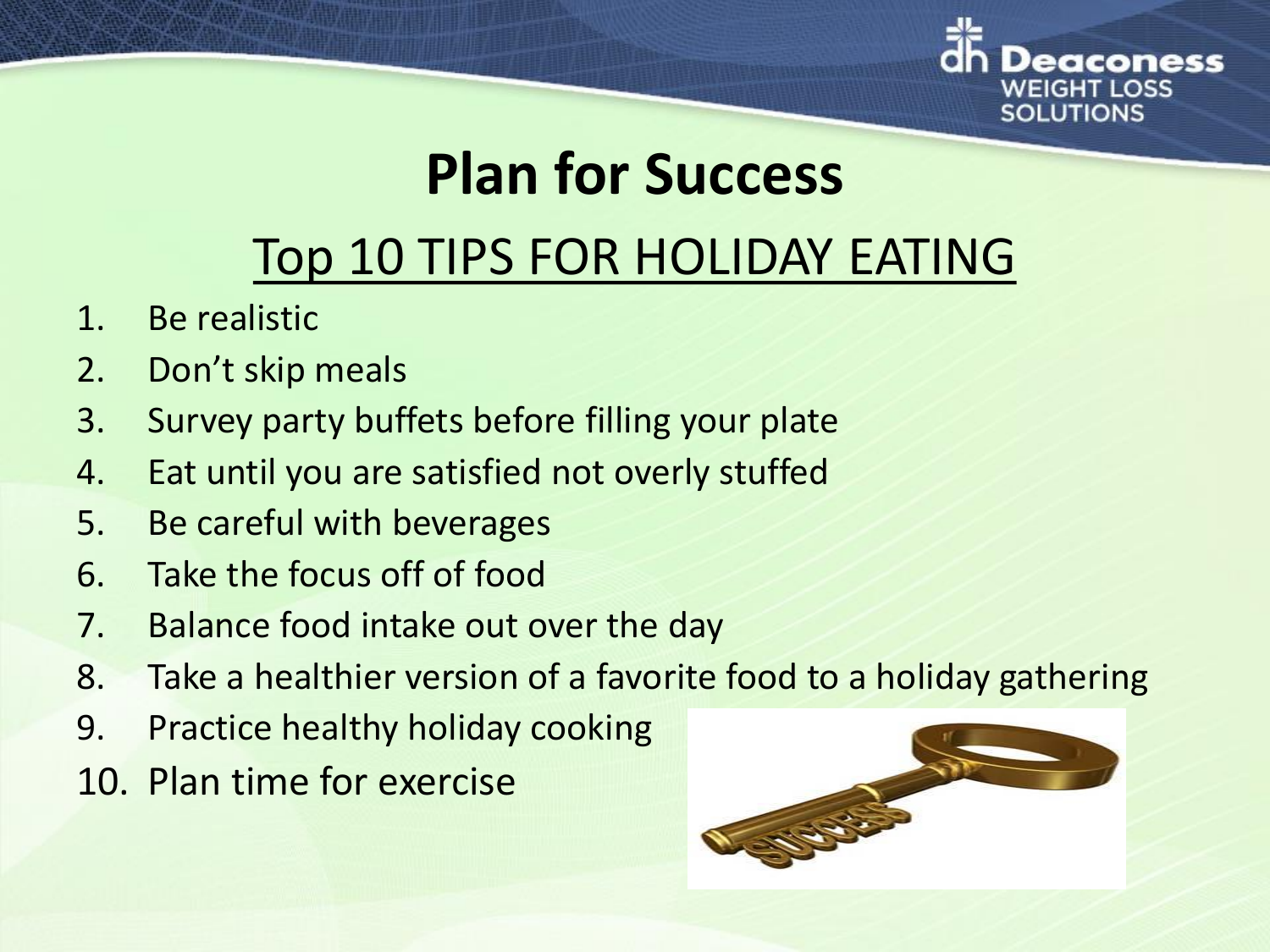

## **Plan for Success**

### Top 10 TIPS FOR HOLIDAY EATING

- 1. Be realistic
- 2. Don't skip meals
- 3. Survey party buffets before filling your plate
- 4. Eat until you are satisfied not overly stuffed
- 5. Be careful with beverages
- 6. Take the focus off of food
- 7. Balance food intake out over the day
- 8. Take a healthier version of a favorite food to a holiday gathering
- 9. Practice healthy holiday cooking
- 10. Plan time for exercise

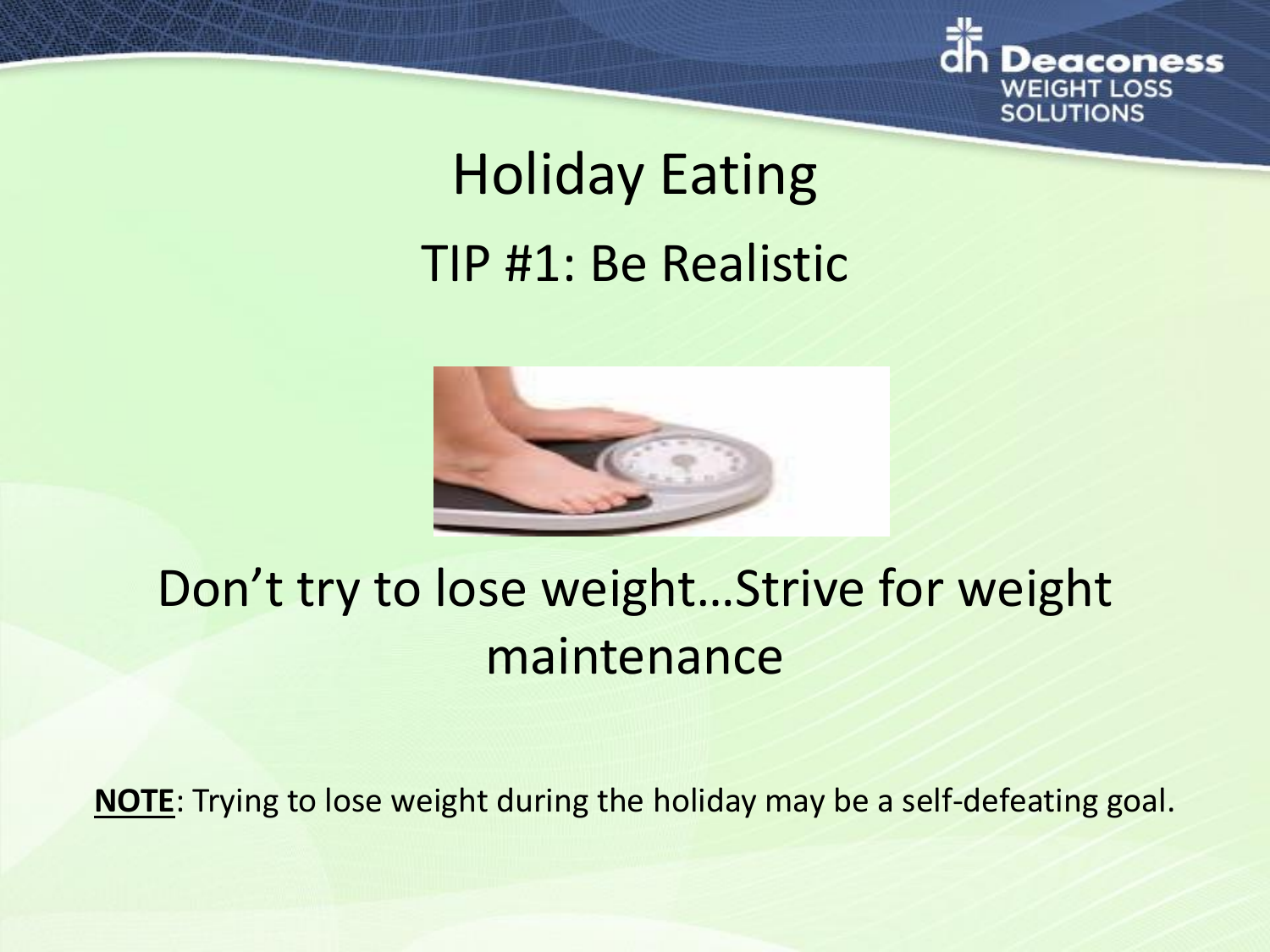

# Holiday Eating TIP #1: Be Realistic



### Don't try to lose weight…Strive for weight maintenance

**NOTE**: Trying to lose weight during the holiday may be a self-defeating goal.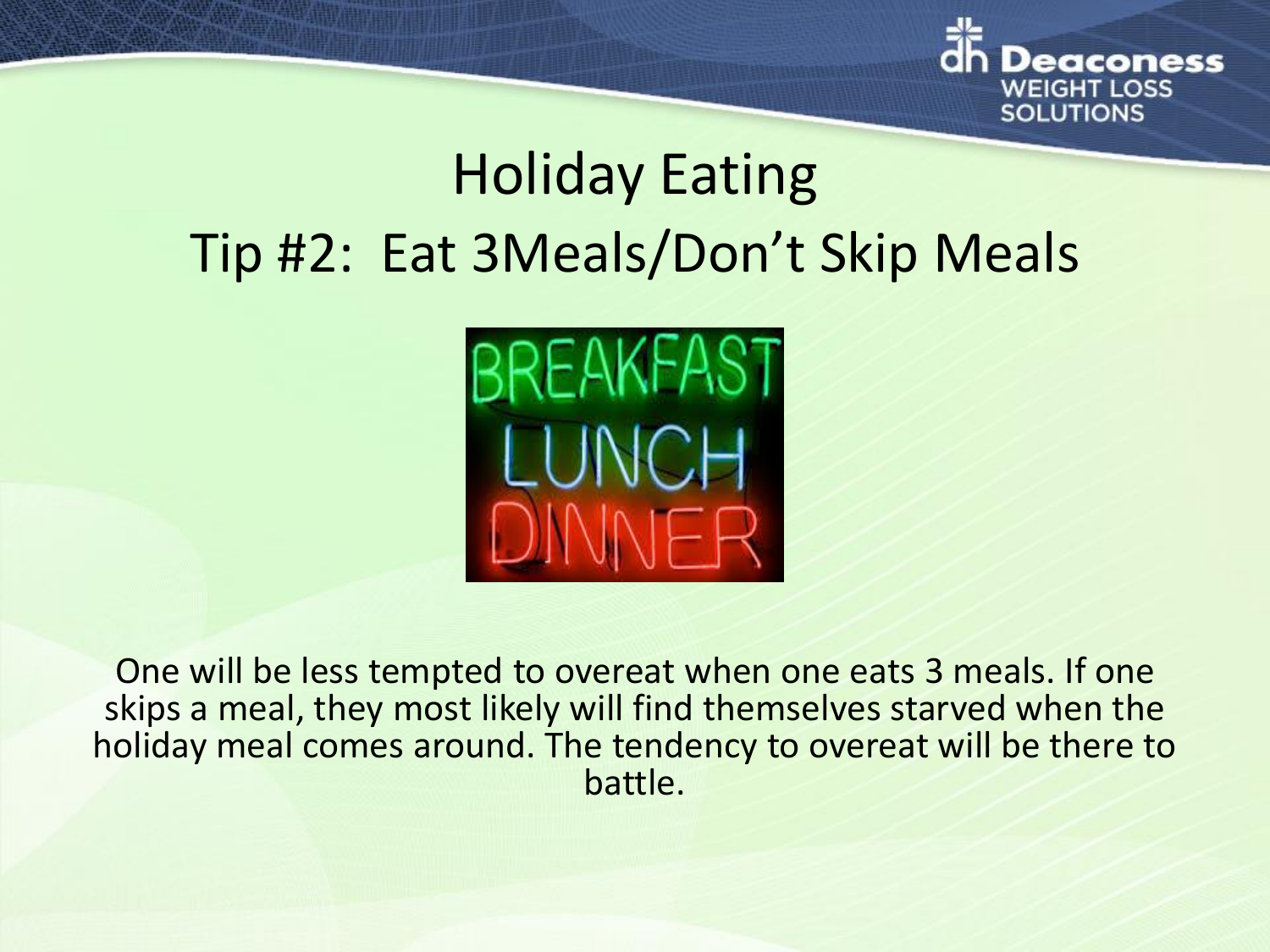

# Holiday Eating Tip #2: Eat 3Meals/Don't Skip Meals



One will be less tempted to overeat when one eats 3 meals. If one skips a meal, they most likely will find themselves starved when the holiday meal comes around. The tendency to overeat will be there to battle.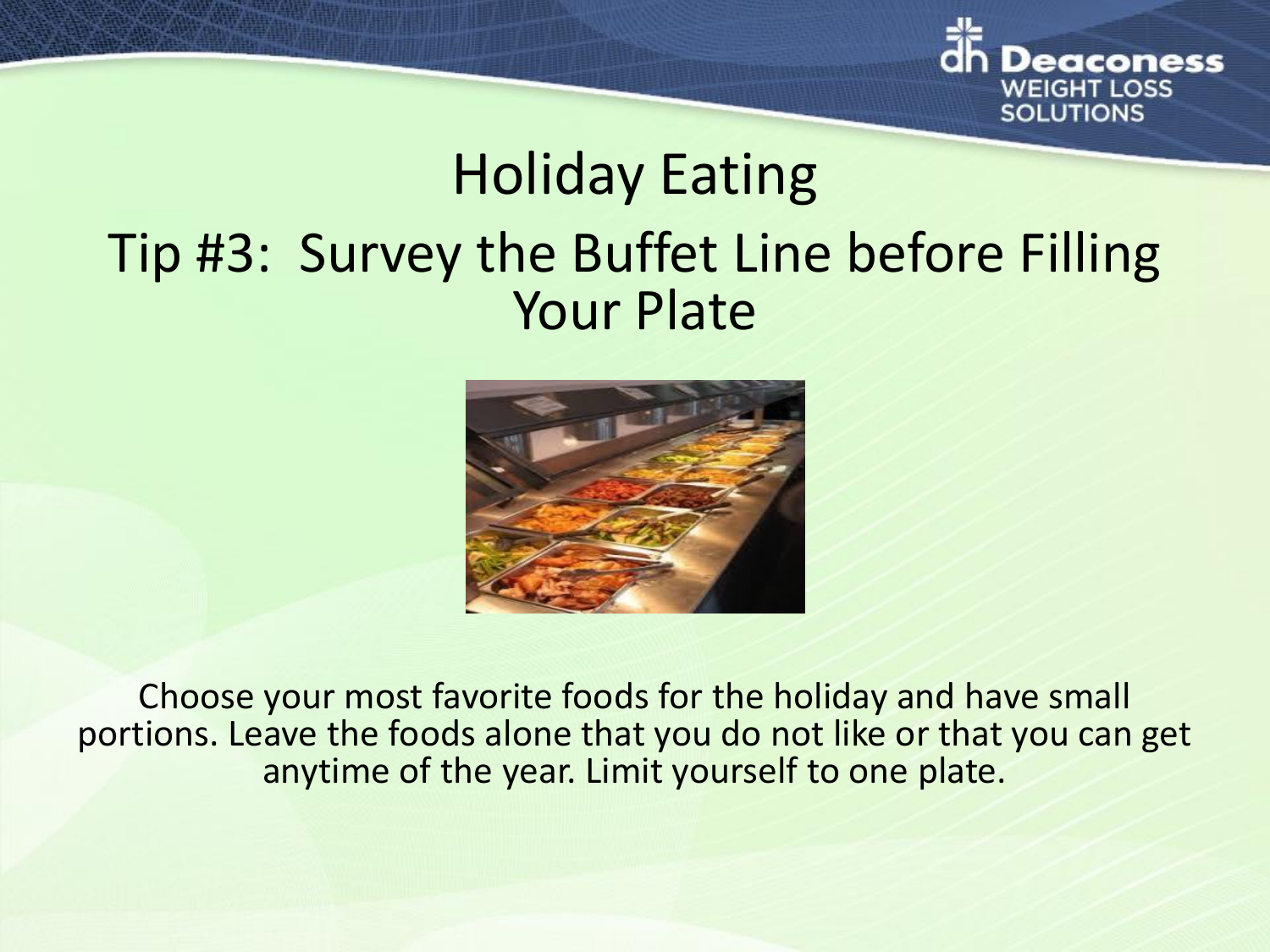

## Holiday Eating Tip #3: Survey the Buffet Line before Filling Your Plate



Choose your most favorite foods for the holiday and have small portions. Leave the foods alone that you do not like or that you can get anytime of the year. Limit yourself to one plate.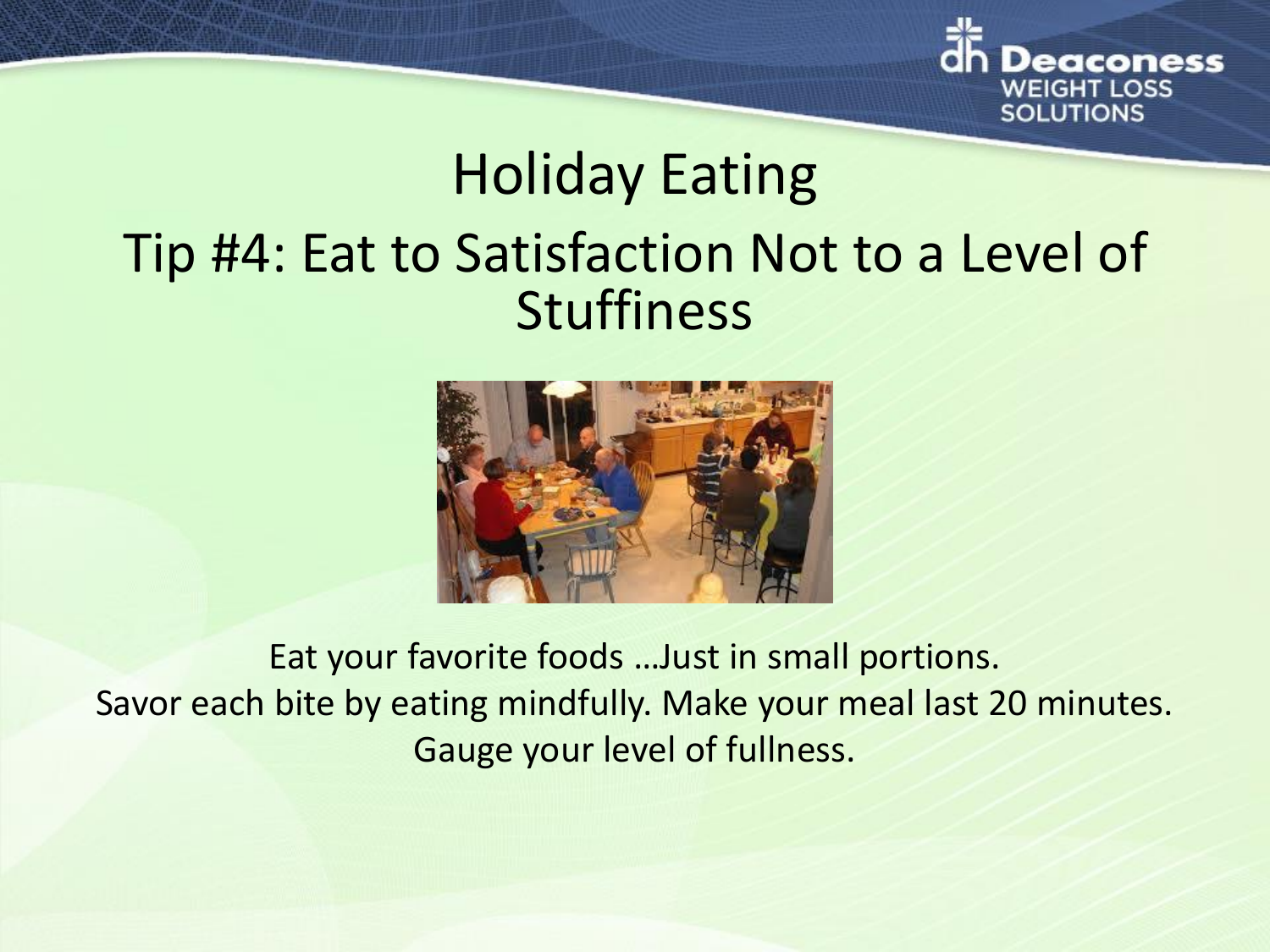

## Holiday Eating Tip #4: Eat to Satisfaction Not to a Level of Stuffiness



Eat your favorite foods …Just in small portions. Savor each bite by eating mindfully. Make your meal last 20 minutes. Gauge your level of fullness.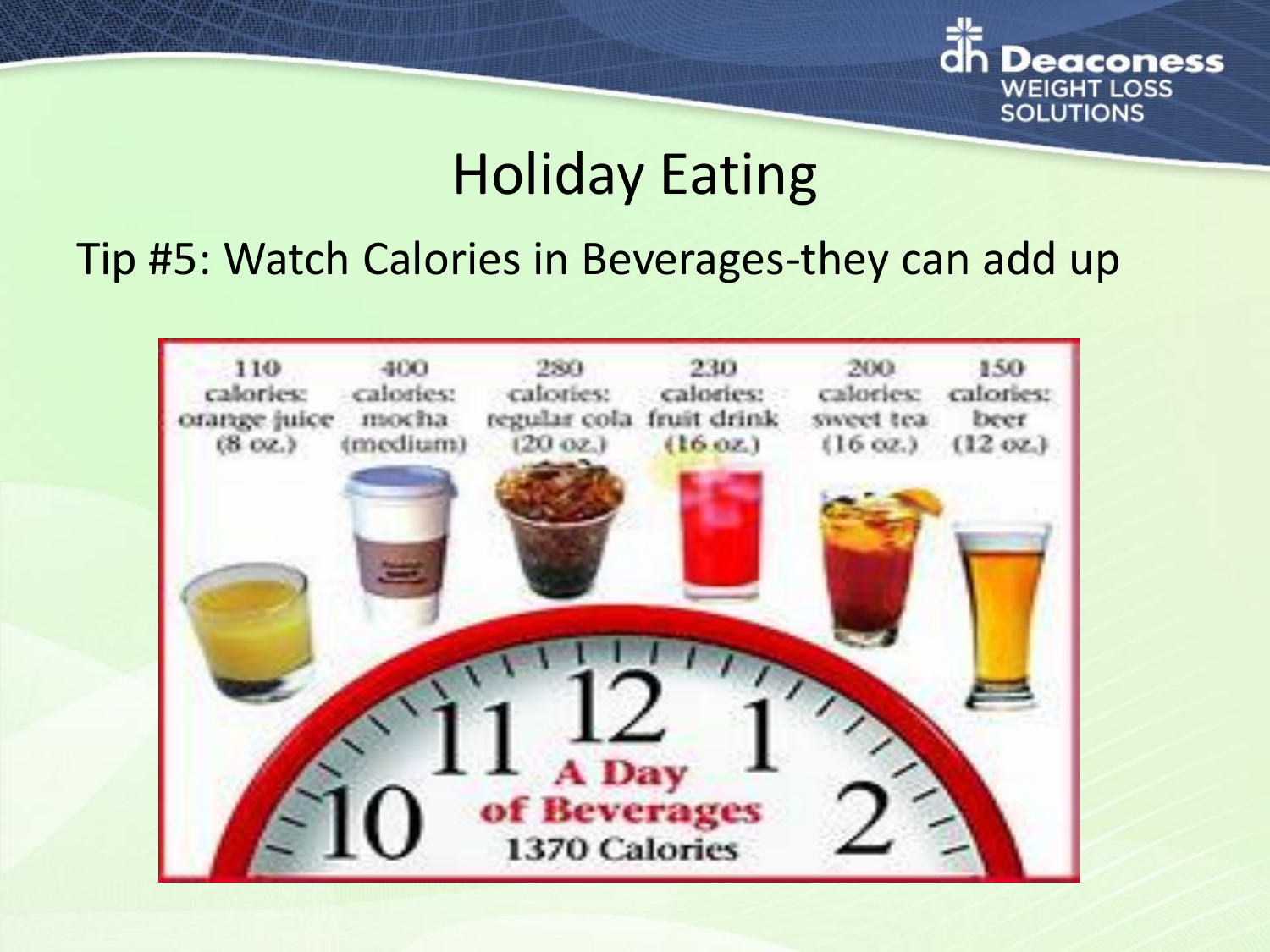

### Holiday Eating

### Tip #5: Watch Calories in Beverages-they can add up

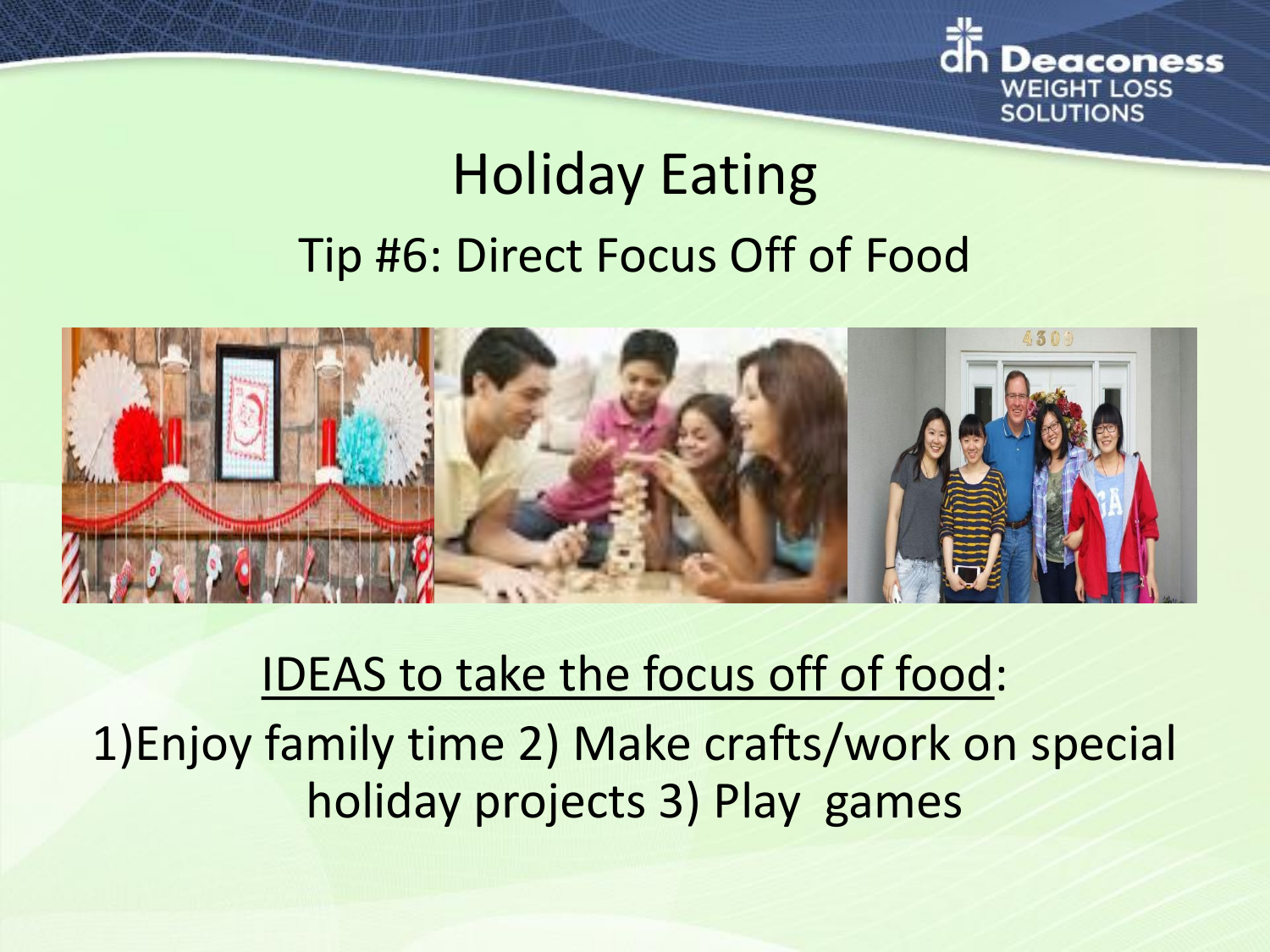

# Holiday Eating Tip #6: Direct Focus Off of Food



### IDEAS to take the focus off of food: 1)Enjoy family time 2) Make crafts/work on special holiday projects 3) Play games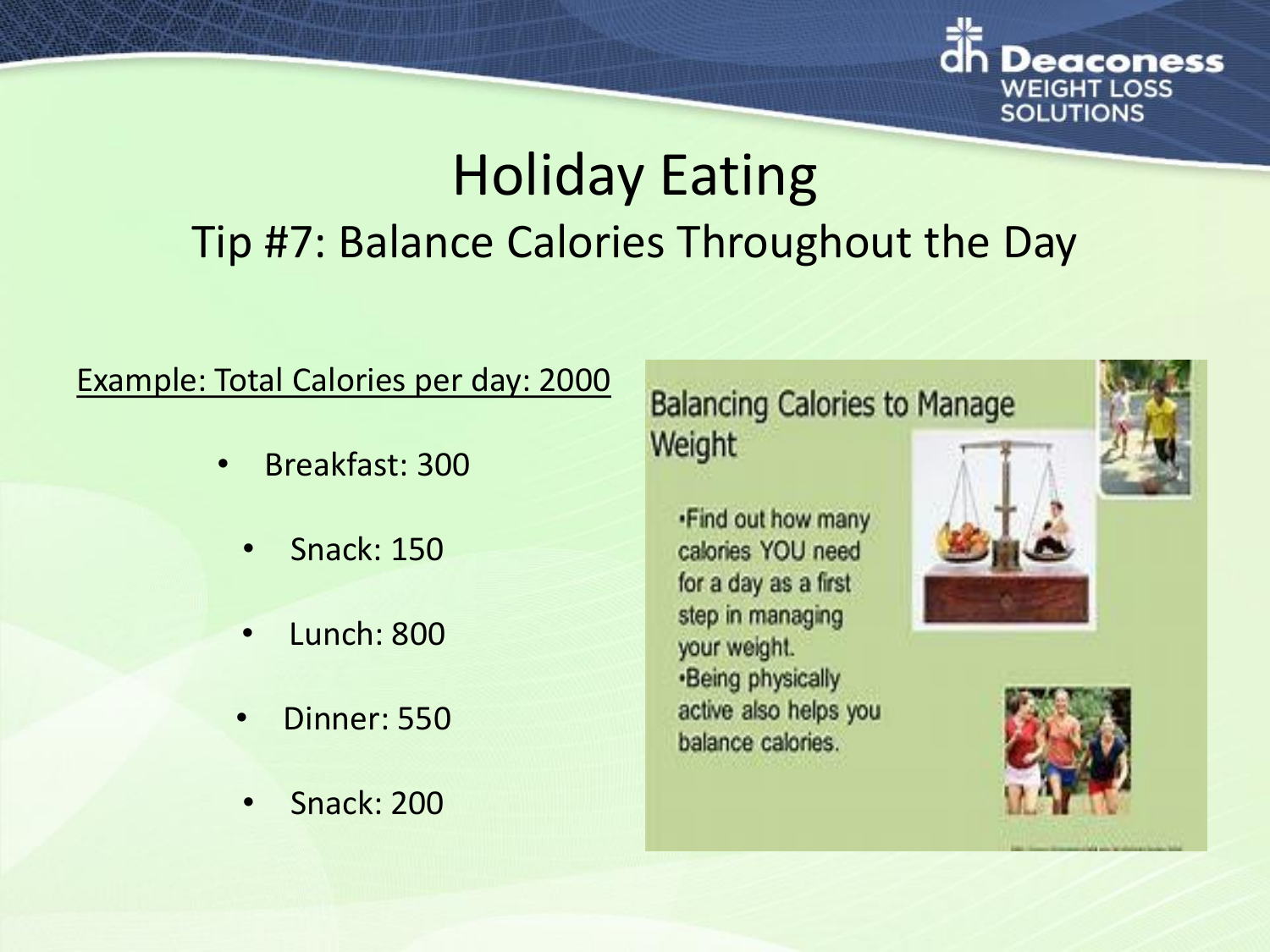

### Holiday Eating Tip #7: Balance Calories Throughout the Day

#### Example: Total Calories per day: 2000

- Breakfast: 300
	- Snack: 150
	- Lunch: 800
	- Dinner: 550
	- Snack: 200

### **Balancing Calories to Manage** Weight

.Find out how many calories YOU need for a day as a first step in managing your weight. ·Being physically active also helps you balance calories.





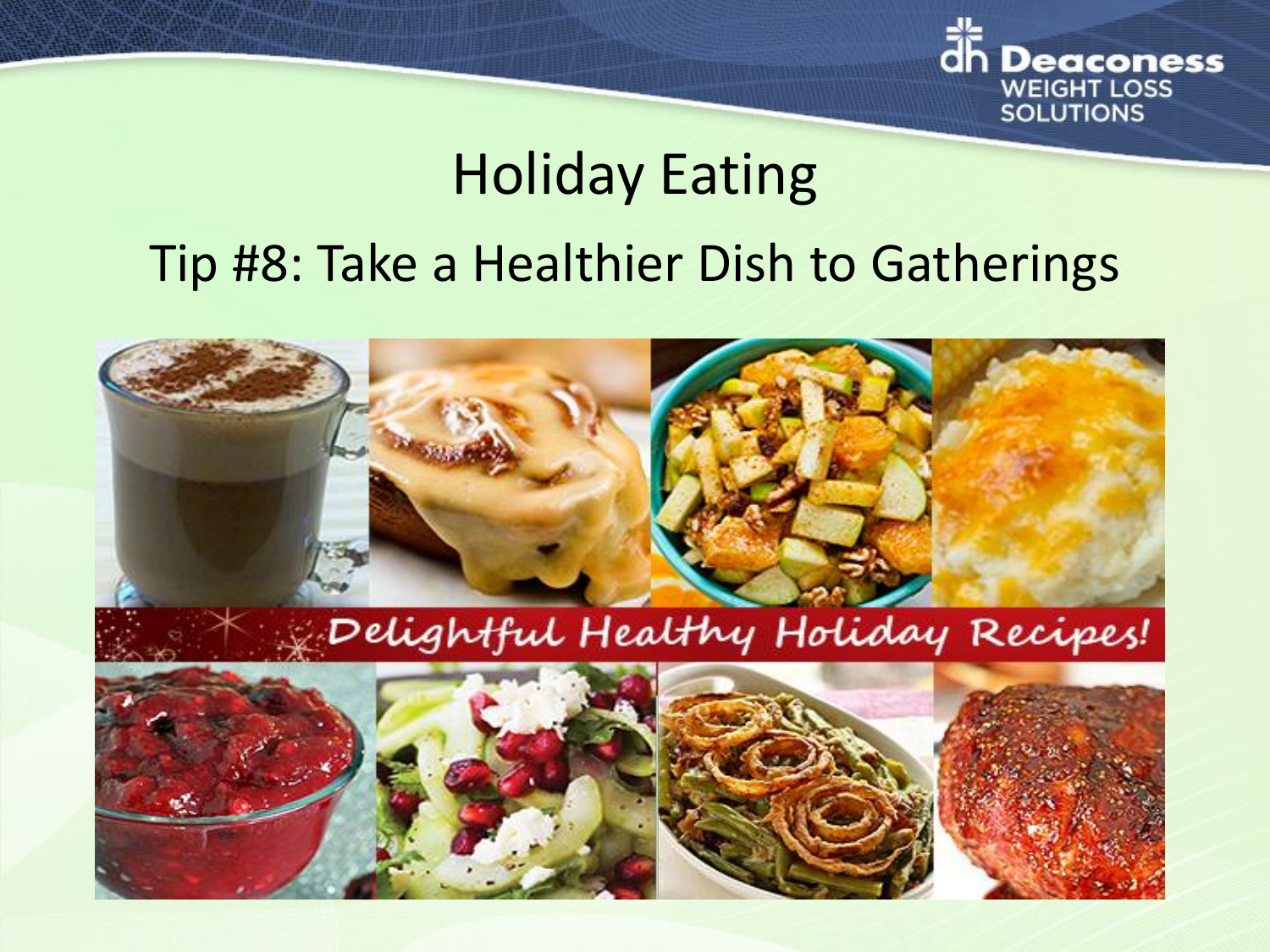

# Holiday Eating

### Tip #8: Take a Healthier Dish to Gatherings

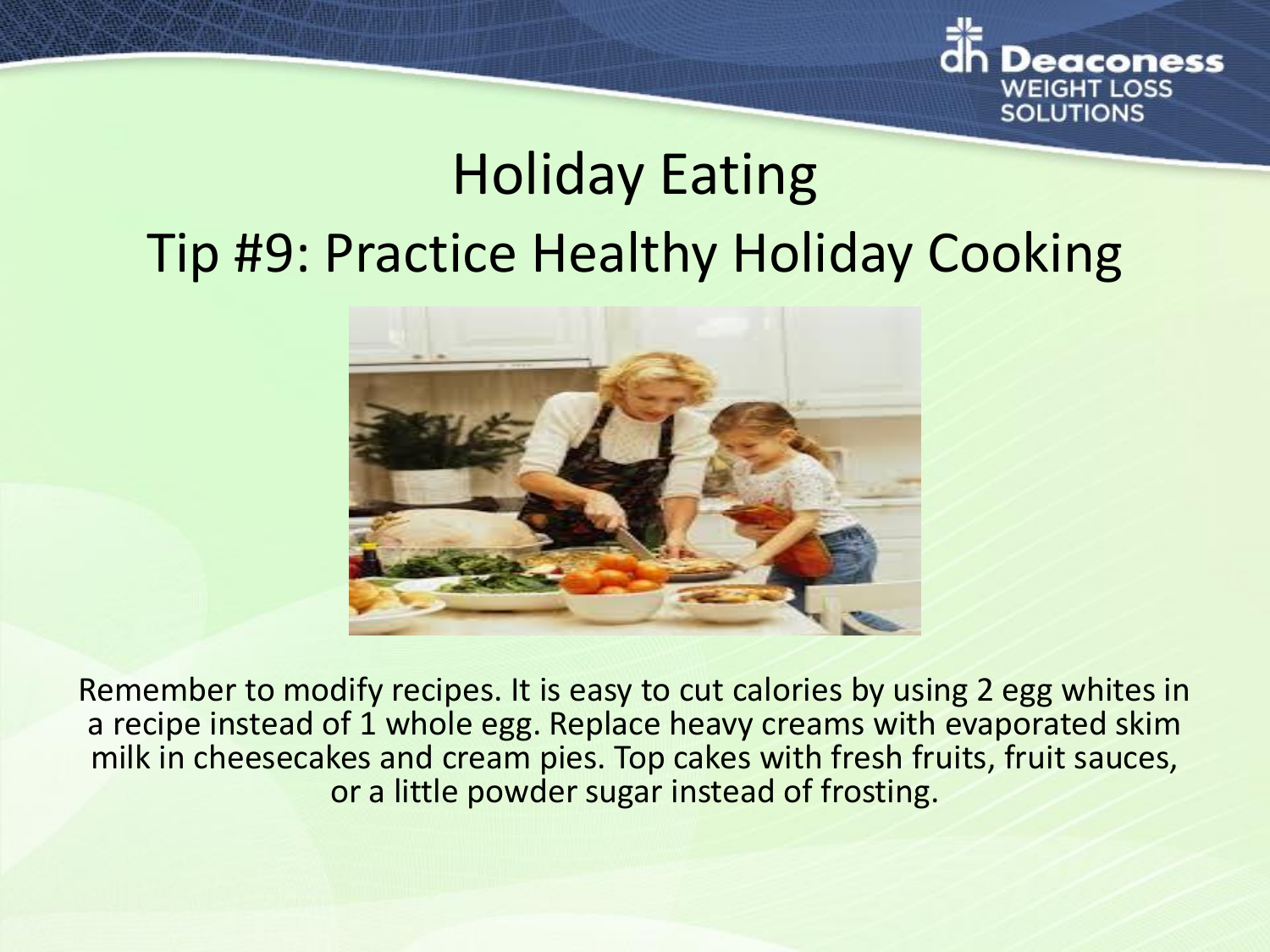

# Holiday Eating Tip #9: Practice Healthy Holiday Cooking



Remember to modify recipes. It is easy to cut calories by using 2 egg whites in a recipe instead of 1 whole egg. Replace heavy creams with evaporated skim milk in cheesecakes and cream pies. Top cakes with fresh fruits, fruit sauces, or a little powder sugar instead of frosting.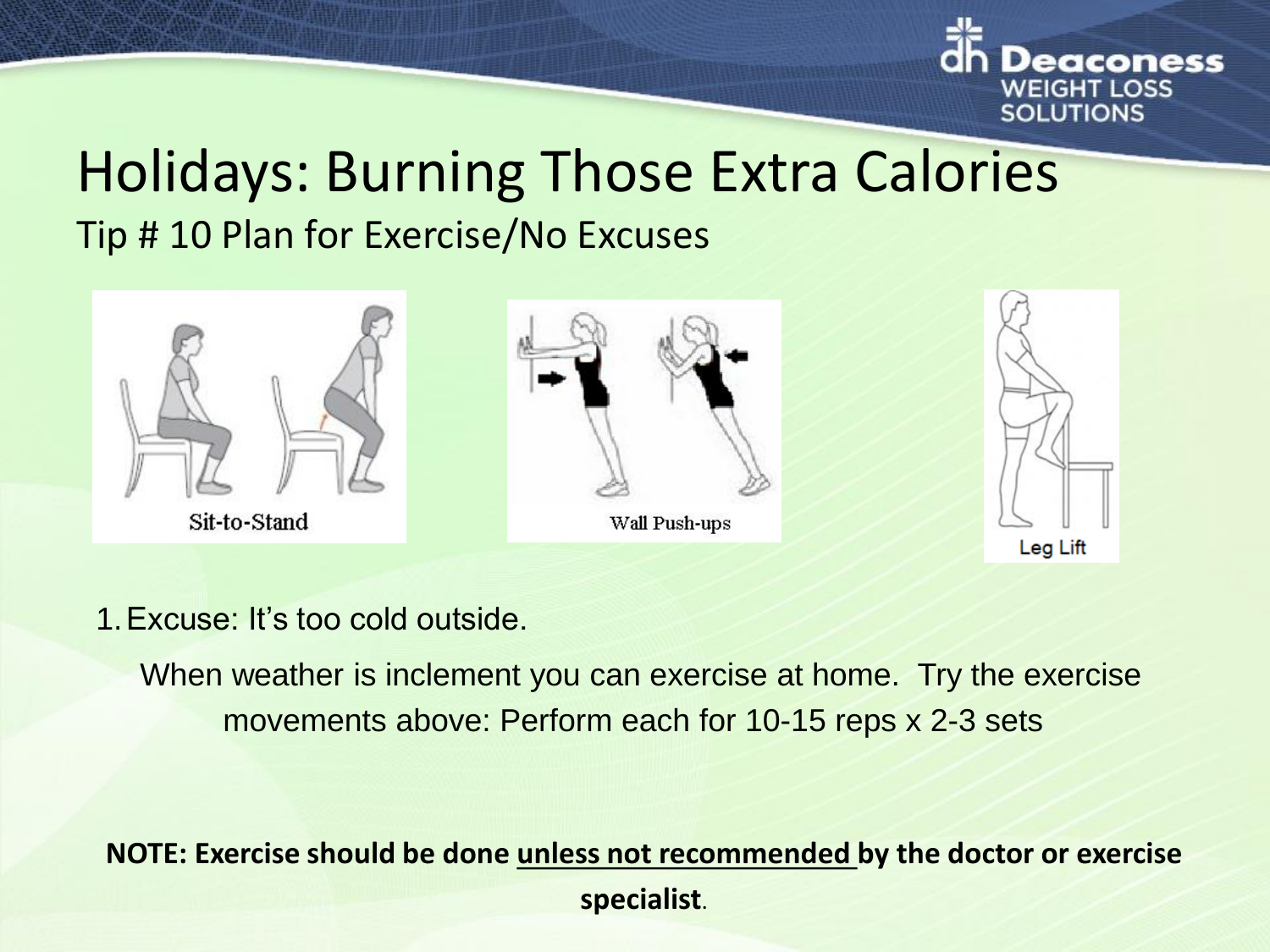

### Holidays: Burning Those Extra Calories Tip # 10 Plan for Exercise/No Excuses



1.Excuse: It's too cold outside.

When weather is inclement you can exercise at home. Try the exercise movements above: Perform each for 10-15 reps x 2-3 sets

### **NOTE: Exercise should be done unless not recommended by the doctor or exercise specialist**.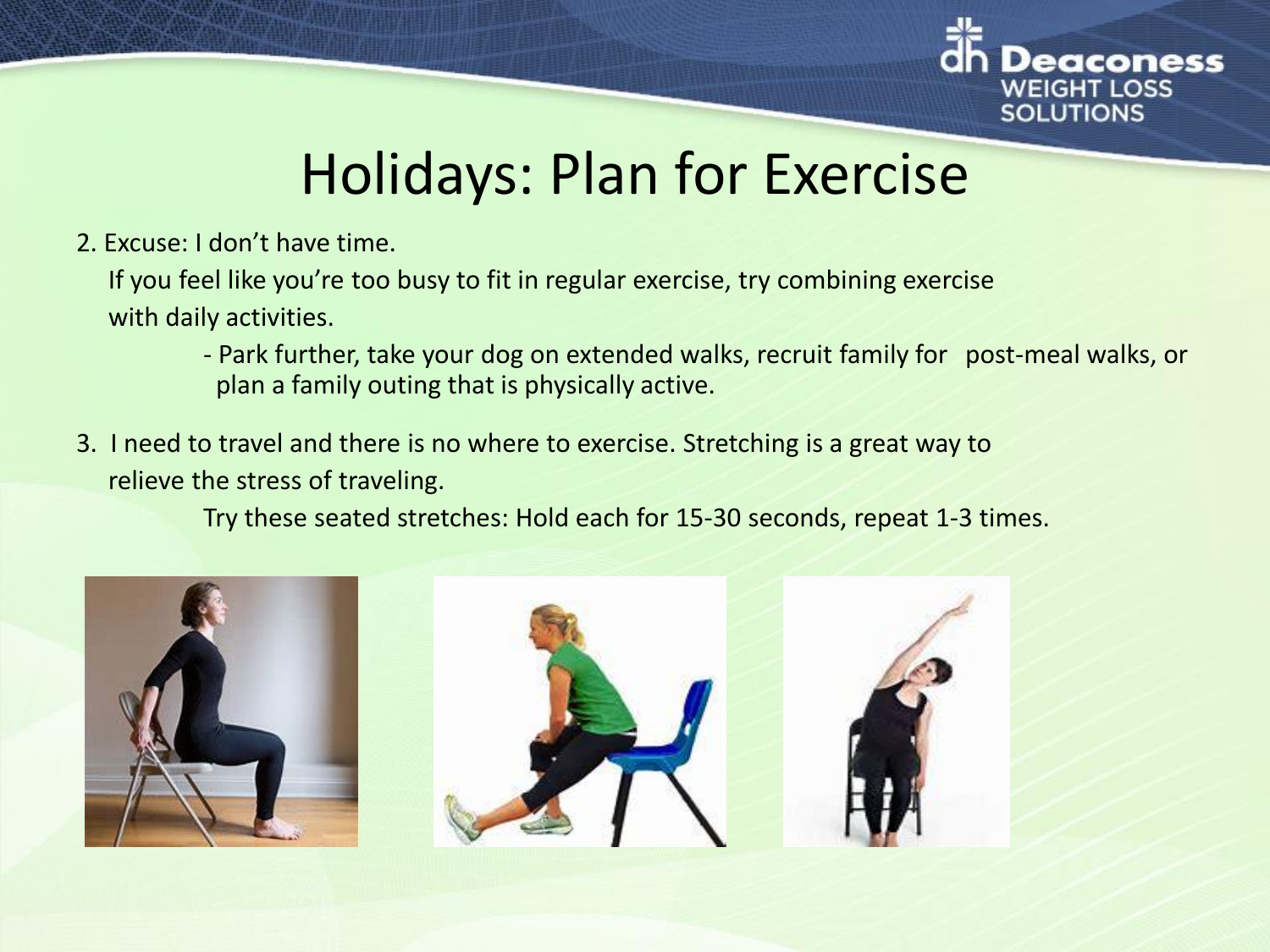

### Holidays: Plan for Exercise

2. Excuse: I don't have time.

If you feel like you're too busy to fit in regular exercise, try combining exercise with daily activities.

- Park further, take your dog on extended walks, recruit family for post-meal walks, or plan a family outing that is physically active.
- 3. I need to travel and there is no where to exercise. Stretching is a great way to relieve the stress of traveling.

Try these seated stretches: Hold each for 15-30 seconds, repeat 1-3 times.

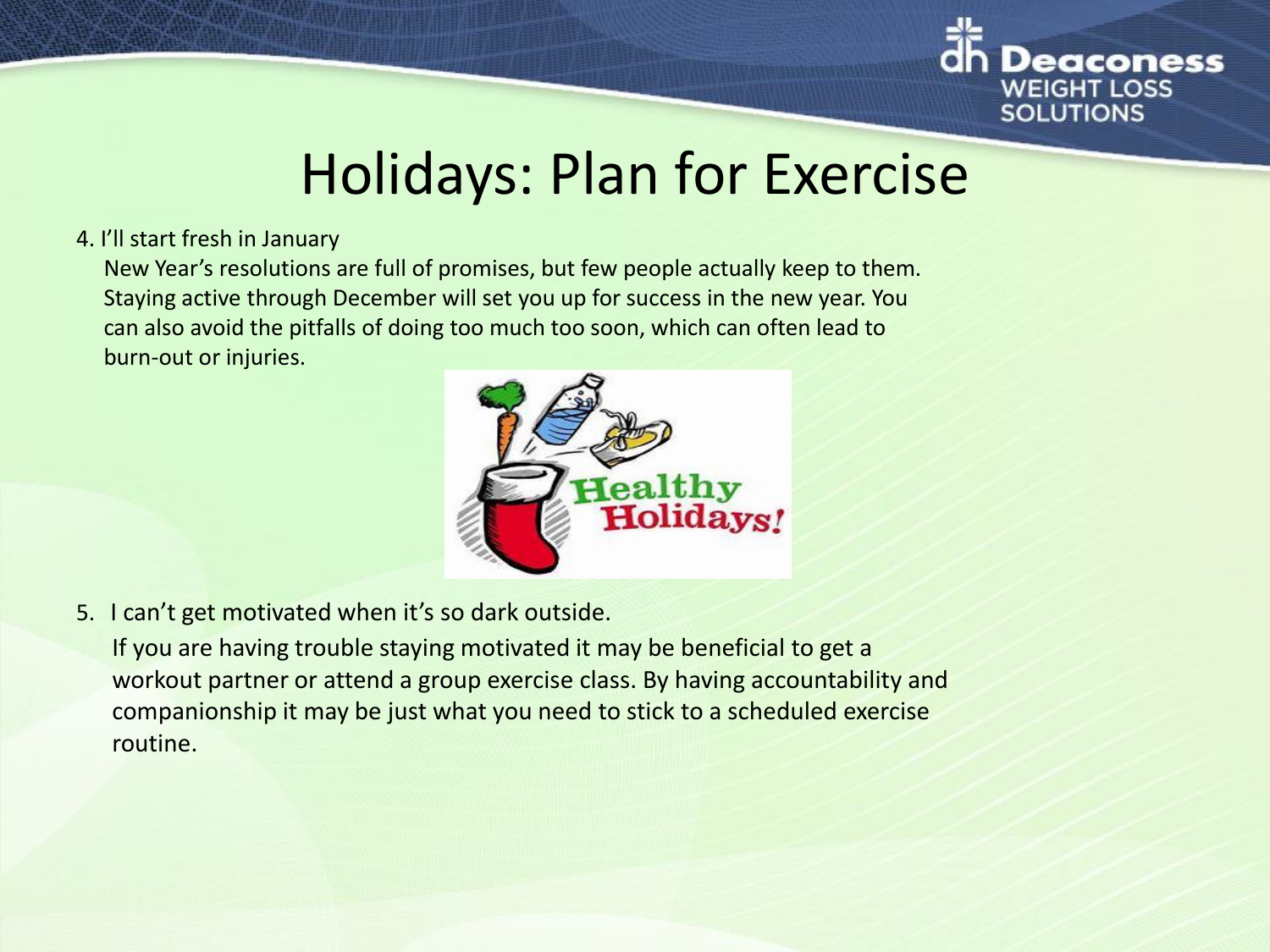

### Holidays: Plan for Exercise

#### 4. I'll start fresh in January

New Year's resolutions are full of promises, but few people actually keep to them. Staying active through December will set you up for success in the new year. You can also avoid the pitfalls of doing too much too soon, which can often lead to burn-out or injuries.



- 5. I can't get motivated when it's so dark outside.
	- If you are having trouble staying motivated it may be beneficial to get a workout partner or attend a group exercise class. By having accountability and companionship it may be just what you need to stick to a scheduled exercise routine.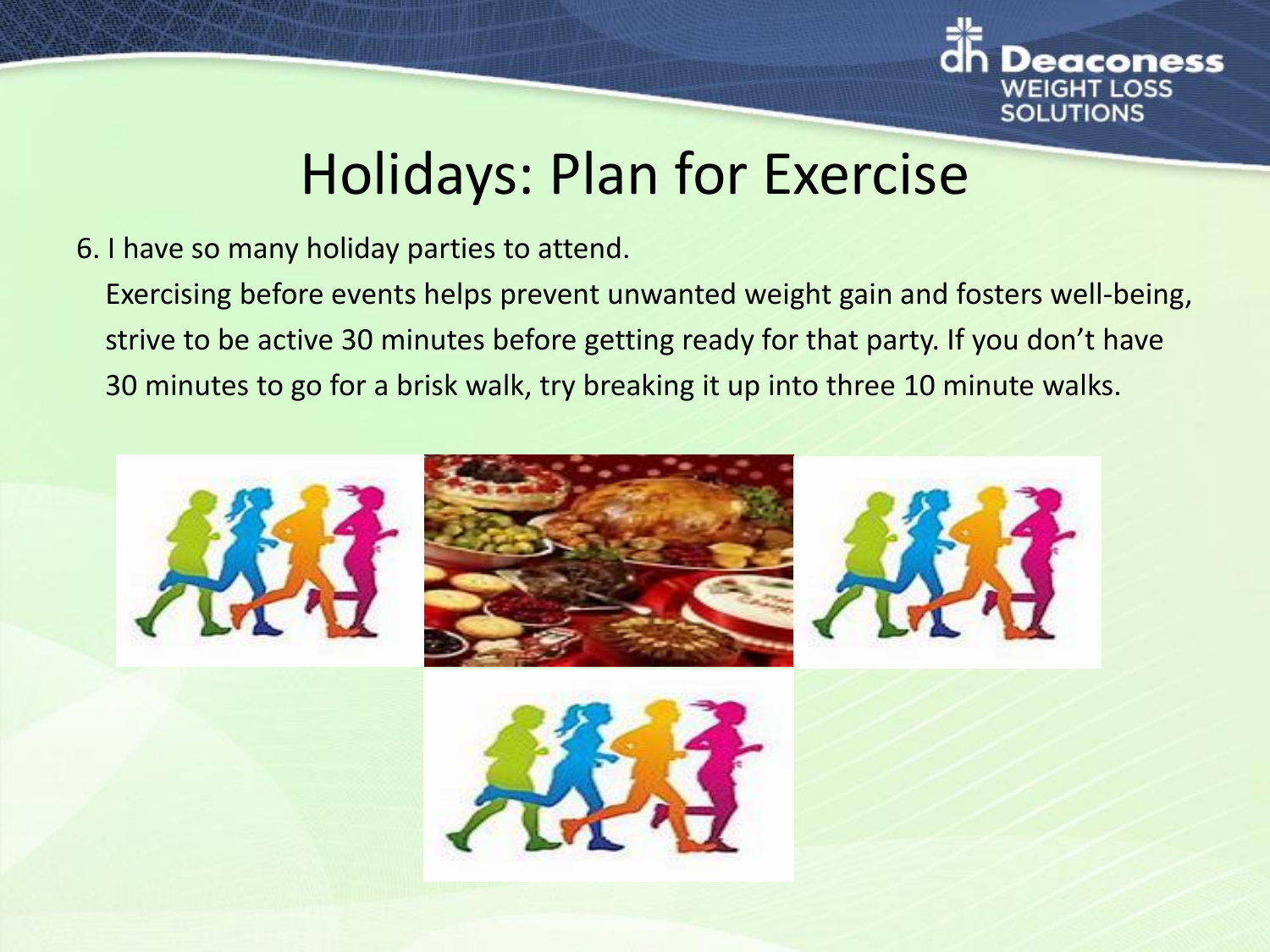

### Holidays: Plan for Exercise

#### 6. I have so many holiday parties to attend.

Exercising before events helps prevent unwanted weight gain and fosters well-being, strive to be active 30 minutes before getting ready for that party. If you don't have 30 minutes to go for a brisk walk, try breaking it up into three 10 minute walks.



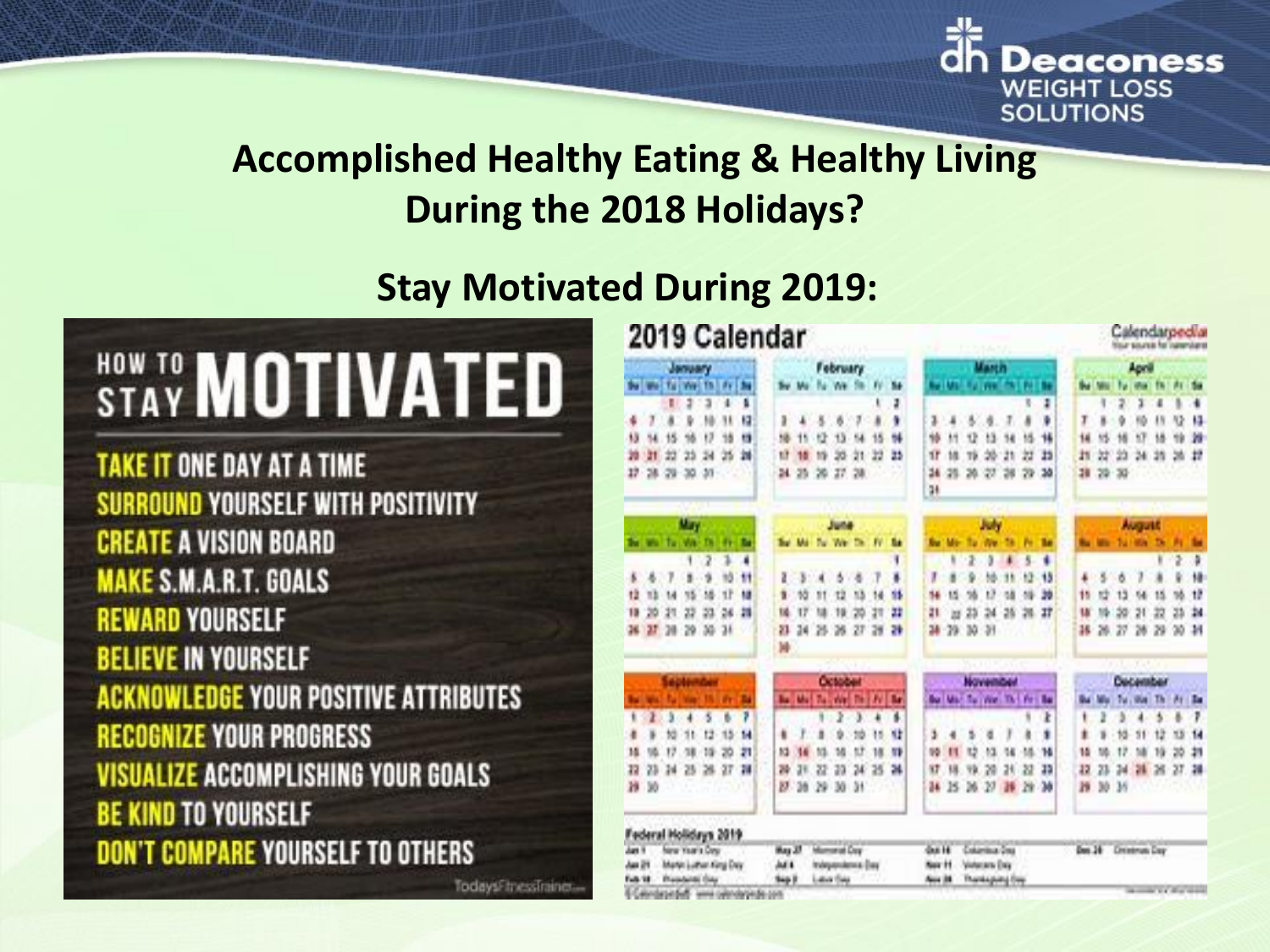

### **Accomplished Healthy Eating & Healthy Living During the 2018 Holidays?**

### **Stay Motivated During 2019:**

# **STAY MOTIVATED**

**TAKE IT ONE DAY AT A TIME** SURROUND YOURSELF WITH POSITIVITY **CREATE A VISION BOARD MAKE S.M.A.R.T. GOALS REWARD YOURSELF BELIEVE IN YOURSELF ACKNOWLEDGE YOUR POSITIVE ATTRIBUTES RECOGNIZE YOUR PROGRESS VISUALIZE ACCOMPLISHING YOUR GOALS BE KIND TO YOURSELF DON'T COMPARE YOURSELF TO OTHERS** 

TodaysFinessTrainer...

| 2019 Calendar                                                                                   |       |    |                   |               |                       |                                                                         |                |    |                |                         |         |                                                                                                       |          |          | Calendarpedia<br>tisar source for insterolate |             |                          |                                        |                 |       |     |       |       |           |        |    |                 |  |
|-------------------------------------------------------------------------------------------------|-------|----|-------------------|---------------|-----------------------|-------------------------------------------------------------------------|----------------|----|----------------|-------------------------|---------|-------------------------------------------------------------------------------------------------------|----------|----------|-----------------------------------------------|-------------|--------------------------|----------------------------------------|-----------------|-------|-----|-------|-------|-----------|--------|----|-----------------|--|
|                                                                                                 |       |    | January           |               |                       |                                                                         | February       |    |                |                         |         |                                                                                                       | Martin   |          |                                               |             |                          |                                        |                 | April |     |       |       |           |        |    |                 |  |
|                                                                                                 |       |    | We Tu We Th       |               | 10134                 |                                                                         |                |    |                | To We St. IV            |         |                                                                                                       | м        |          |                                               |             |                          | <b>Carl Adam Rus View Mit Poli Bar</b> |                 |       |     |       |       |           |        |    |                 |  |
|                                                                                                 |       | ۲  | э                 | a             | ٠                     | ۹                                                                       |                |    |                |                         |         |                                                                                                       | ı        |          |                                               |             |                          |                                        |                 | ı     |     |       | 2     | ı         | п      | ۱  | ٠               |  |
| 嘛                                                                                               |       |    | ü                 | N             | 11                    | 13                                                                      | ٠              | ٠  | 8.             | - 6                     | - 2     |                                                                                                       | ٠        | ı.       | ٠                                             | s.          | n.                       | φ                                      |                 | ٠     | I   |       |       |           | 11     | 肜  | $\mathbf{H}$    |  |
| 13                                                                                              | ч     | 15 |                   | 13            | 15                    | u                                                                       | 18             | 15 | 经              | 13.54                   |         |                                                                                                       | 84       | 16       | 1/1                                           | Ÿ           | 15                       | 14                                     | 15              | 椹     | 14  |       |       | <b>SF</b> | 18     | ٣k | m               |  |
| 39                                                                                              | ä1    | 22 | 25                | 24            | 25                    | 'n                                                                      | U              | 15 | 19             | 35 31                   |         | 33                                                                                                    | 25       | ۱F       | m                                             | 18          | 抛                        | m                                      | 苕               | n     | ł٦  | 討     | 氢     | 24        | 35     |    | 添設              |  |
| 17                                                                                              | 28.   |    | $29 - 30$         | $\mathcal{M}$ |                       |                                                                         |                |    |                | 24 25 26 27 28          |         |                                                                                                       |          | 34<br>24 | 49.                                           |             | 20 27 28                 |                                        | -79             | 30    | 38  | 79    | $-30$ |           |        |    |                 |  |
| May                                                                                             |       |    |                   |               |                       | <b>June</b>                                                             |                |    |                |                         |         | July                                                                                                  |          |          |                                               |             |                          | <b>August</b>                          |                 |       |     |       |       |           |        |    |                 |  |
|                                                                                                 |       |    | we factor         | T.            |                       | m                                                                       |                |    |                | Tu We Dr. Fr Re         |         |                                                                                                       |          |          |                                               |             |                          |                                        |                 |       |     |       |       |           |        |    |                 |  |
|                                                                                                 |       |    |                   | 2             | ı                     | ٠                                                                       |                |    |                |                         |         |                                                                                                       | ŧ        |          |                                               |             | ١                        |                                        | 5               | ٠     |     |       |       |           |        | ž  | a               |  |
| ×                                                                                               |       | 7  | s                 |               | ۹ð                    | Ħ                                                                       | z              | 3  | $\blacksquare$ | в                       | 遇       |                                                                                                       | s.       | 1        |                                               |             |                          | ٠                                      | łž              | -15   |     | 8     | 8     |           |        |    | 橫               |  |
| tž.                                                                                             | 'n    | M  |                   | 18            | 1F                    | u                                                                       | ٠              | 10 | 11             | tž                      | 13      | 14                                                                                                    | 15       |          |                                               |             | t)                       |                                        |                 | 39    | 15  |       | 13    |           | 15     |    | u               |  |
| 13                                                                                              | 20    | 21 | 22                | 23            | 26                    | 罪                                                                       | м              | 17 | м              |                         | 19 20   | 21                                                                                                    | 22       | 21       | ш                                             | 25          | $\overline{\mathcal{M}}$ | 28                                     | 20 27           |       | u   |       | 50    | 21        | 22     | 25 | $\overline{14}$ |  |
|                                                                                                 |       |    | 26 27 28 29 30 31 |               |                       |                                                                         | 21<br>M        |    |                | 34 25 26 27 28          |         |                                                                                                       | 29       |          |                                               | 28 29 30 31 |                          |                                        |                 |       | 38. | ж     | 27    | 28        | 29     |    | $30 - 34$       |  |
|                                                                                                 |       |    |                   |               |                       |                                                                         | <b>October</b> |    |                |                         |         |                                                                                                       | November |          |                                               |             |                          |                                        | <b>Outamber</b> |       |     |       |       |           |        |    |                 |  |
|                                                                                                 |       |    |                   |               |                       |                                                                         |                |    |                | Be Me! To We! The FV Be |         |                                                                                                       |          |          |                                               |             |                          | By Mid-Turrities The Fire Bar          |                 |       |     |       |       | 95.00     | n      | As | 1 Ba            |  |
| ٠                                                                                               |       |    |                   | 5             | b                     | 7                                                                       |                |    | ٠              | ž                       | з       | ٠                                                                                                     | x        |          |                                               |             |                          |                                        |                 | Ł     | ٠   |       |       |           |        |    | л               |  |
|                                                                                                 |       |    |                   | 12            | 15                    | м                                                                       |                |    |                |                         |         |                                                                                                       | u        | э        |                                               |             | đ                        |                                        |                 | ٠     |     |       |       | 51        | 12     | 15 | 14              |  |
| м                                                                                               |       | 17 |                   | 15            | 20                    | 71                                                                      | 13             |    |                |                         |         | 18                                                                                                    | τÞ       | 95       | п                                             | υ           | 13                       | u                                      |                 | м     | 15  |       | 12    |           | 19     | 20 | 11              |  |
| 22                                                                                              | 23    | 34 | 25                | ж             | 27                    | $\mathbb{R}$                                                            | т              | ая | 22             | 23                      | $^{34}$ | 25                                                                                                    | м        | w        | и                                             | Ψk          | 20                       | 24                                     | 22              | 11    | 12  | 23    | 34    | 24        | $\geq$ |    | 27.28           |  |
|                                                                                                 | 29 30 |    |                   |               |                       |                                                                         | B.             |    |                | 36 29 30 31             |         |                                                                                                       |          | 34       | 15                                            |             |                          | 26 27 18 29 20                         |                 |       | 挡   | 30 36 |       |           |        |    |                 |  |
|                                                                                                 |       |    |                   |               | Federal Holidays 2019 |                                                                         |                |    |                |                         |         |                                                                                                       |          |          |                                               |             |                          |                                        |                 |       |     |       |       |           |        |    |                 |  |
| <b>New Year's Day</b><br>Jun 1<br>Martin Luthan King Day<br>Jan 29<br>Presidenti Orio<br>Fab 18 |       |    |                   |               |                       | Mummar Day<br>thas 27<br>Independence (Tex)<br>M1<br>Latin Bay<br>Sep 2 |                |    |                |                         |         | <b>Gun H</b><br><b>Columbus Des</b><br>Victorians Enty<br><b>Noir 11</b><br>Thankspieg (two<br>Aug 38 |          |          |                                               |             |                          | Das 28 Driverun Day                    |                 |       |     |       |       |           |        |    |                 |  |